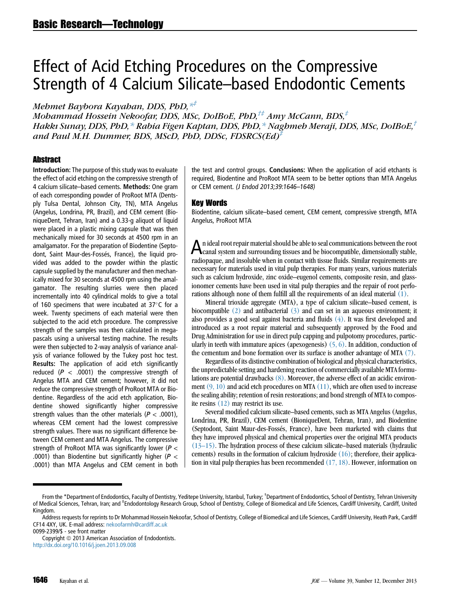# Effect of Acid Etching Procedures on the Compressive Strength of 4 Calcium Silicate–based Endodontic Cements

Mehmet Baybora Kayahan, DDS, PhD,  $*^{\ddagger}$ 

Mohammad Hossein Nekoofar, DDS, MSc, DoIBoE, PhD, $^{t}\#$  Amy McCann, BDS, $^{t}$ Hakkı Sunay, DDS, PhD,  $*$  Rabia Figen Kaptan, DDS, PhD,  $*$  Naghmeh Meraji, DDS, MSc, DoIBoE,  $\hbar$ and Paul M.H. Dummer, BDS, MScD, PhD, DDSc, FDSRCS(Ed)‡

#### **Abstract**

Introduction: The purpose of this study was to evaluate the effect of acid etching on the compressive strength of 4 calcium silicate–based cements. Methods: One gram of each corresponding powder of ProRoot MTA (Dentsply Tulsa Dental, Johnson City, TN), MTA Angelus (Angelus, Londrina, PR, Brazil), and CEM cement (BioniqueDent, Tehran, Iran) and a 0.33-g aliquot of liquid were placed in a plastic mixing capsule that was then mechanically mixed for 30 seconds at 4500 rpm in an amalgamator. For the preparation of Biodentine (Septodont, Saint Maur-des-Fossés, France), the liquid provided was added to the powder within the plastic capsule supplied by the manufacturer and then mechanically mixed for 30 seconds at 4500 rpm using the amalgamator. The resulting slurries were then placed incrementally into 40 cylindrical molds to give a total of 160 specimens that were incubated at  $37^{\circ}$ C for a week. Twenty specimens of each material were then subjected to the acid etch procedure. The compressive strength of the samples was then calculated in megapascals using a universal testing machine. The results were then subjected to 2-way analysis of variance analysis of variance followed by the Tukey post hoc test. Results: The application of acid etch significantly reduced ( $P < .0001$ ) the compressive strength of Angelus MTA and CEM cement; however, it did not reduce the compressive strength of ProRoot MTA or Biodentine. Regardless of the acid etch application, Biodentine showed significantly higher compressive strength values than the other materials ( $P < .0001$ ), whereas CEM cement had the lowest compressive strength values. There was no significant difference between CEM cement and MTA Angelus. The compressive strength of ProRoot MTA was significantly lower ( $P <$ .0001) than Biodentine but significantly higher ( $P <$ .0001) than MTA Angelus and CEM cement in both

the test and control groups. Conclusions: When the application of acid etchants is required, Biodentine and ProRoot MTA seem to be better options than MTA Angelus or CEM cement. (J Endod 2013;39:1646–1648)

#### Key Words

Biodentine, calcium silicate–based cement, CEM cement, compressive strength, MTA Angelus, ProRoot MTA

An ideal root repair material should be able to seal communications between the root canal system and surrounding tissues and be biocompatible, dimensionally stable, radiopaque, and insoluble when in contact with tissue fluids. Similar requirements are necessary for materials used in vital pulp therapies. For many years, various materials such as calcium hydroxide, zinc oxide–eugenol cements, composite resin, and glassionomer cements have been used in vital pulp therapies and the repair of root perforations although none of them fulfill all the requirements of an ideal material [\(1\)](#page-2-0).

Mineral trioxide aggregate (MTA), a type of calcium silicate–based cement, is biocompatible  $(2)$  and antibacterial  $(3)$  and can set in an aqueous environment; it also provides a good seal against bacteria and fluids [\(4\)](#page-2-0). It was first developed and introduced as a root repair material and subsequently approved by the Food and Drug Administration for use in direct pulp capping and pulpotomy procedures, particularly in teeth with immature apices (apexogenesis)  $(5, 6)$ . In addition, conduction of the cementum and bone formation over its surface is another advantage of MTA [\(7\)](#page-2-0).

Regardless of its distinctive combination of biological and physical characteristics, the unpredictable setting and hardening reaction of commercially available MTA formulations are potential drawbacks [\(8\).](#page-2-0) Moreover, the adverse effect of an acidic environment  $(9, 10)$  and acid etch procedures on MTA  $(11)$ , which are often used to increase the sealing ability; retention of resin restorations; and bond strength of MTA to composite resins [\(12\)](#page-2-0) may restrict its use.

Several modified calcium silicate–based cements, such as MTA Angelus (Angelus, Londrina, PR, Brazil), CEM cement (BioniqueDent, Tehran, Iran), and Biodentine (Septodont, Saint Maur-des-Fosses, France), have been marketed with claims that they have improved physical and chemical properties over the original MTA products [\(13–15\).](#page-2-0) The hydration process of these calcium silicate–based materials (hydraulic cements) results in the formation of calcium hydroxide  $(16)$ ; therefore, their application in vital pulp therapies has been recommended [\(17, 18\).](#page-2-0) However, information on

From the \*Department of Endodontics, Faculty of Dentistry, Yeditepe University, Istanbul, Turkey; <sup>†</sup>Department of Endodontics, School of Dentistry, Tehran University of Medical Sciences, Tehran, Iran; and ‡Endodontology Research Group, School of Dentistry, College of Biomedical and Life Sciences, Cardiff University, Cardiff, United Kingdom.

Address requests for reprints to Dr Mohammad Hossein Nekoofar, School of Dentistry, College of Biomedical and Life Sciences, Cardiff University, Heath Park, Cardiff CF14 4XY, UK. E-mail address: [nekoofarmh@cardiff.ac.uk](mailto:nekoofarmh@cardiff.ac.uk)

<sup>0099-2399/\$ -</sup> see front matter

Copyright © 2013 American Association of Endodontists. <http://dx.doi.org/10.1016/j.joen.2013.09.008>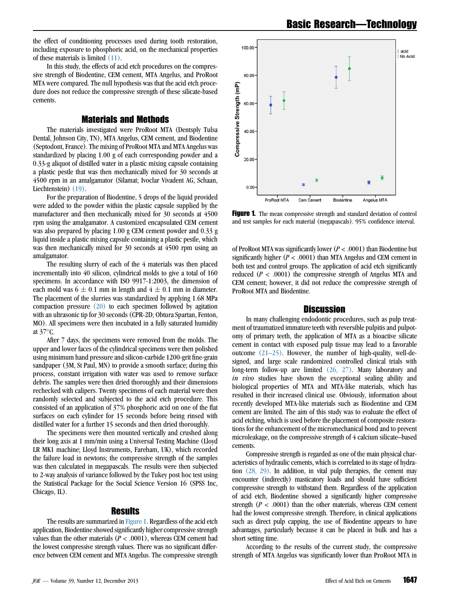the effect of conditioning processes used during tooth restoration, including exposure to phosphoric acid, on the mechanical properties of these materials is limited [\(11\)](#page-2-0).

In this study, the effects of acid etch procedures on the compressive strength of Biodentine, CEM cement, MTA Angelus, and ProRoot MTA were compared. The null hypothesis was that the acid etch procedure does not reduce the compressive strength of these silicate-based cements.

### Materials and Methods

The materials investigated were ProRoot MTA (Dentsply Tulsa Dental, Johnson City, TN), MTA Angelus, CEM cement, and Biodentine (Septodont, France). The mixing of ProRoot MTA and MTA Angelus was standardized by placing 1.00 g of each corresponding powder and a 0.33-g aliquot of distilled water in a plastic mixing capsule containing a plastic pestle that was then mechanically mixed for 30 seconds at 4500 rpm in an amalgamator (Silamat; Ivoclar Vivadent AG, Schaan, Liechtenstein) [\(19\)](#page-2-0).

For the preparation of Biodentine, 5 drops of the liquid provided were added to the powder within the plastic capsule supplied by the manufacturer and then mechanically mixed for 30 seconds at 4500 rpm using the amalgamator. A customized encapsulated CEM cement was also prepared by placing 1.00 g CEM cement powder and 0.33 g liquid inside a plastic mixing capsule containing a plastic pestle, which was then mechanically mixed for 30 seconds at 4500 rpm using an amalgamator.

The resulting slurry of each of the 4 materials was then placed incrementally into 40 silicon, cylindrical molds to give a total of 160 specimens. In accordance with ISO 9917-1:2003, the dimension of each mold was  $6 \pm 0.1$  mm in length and  $4 \pm 0.1$  mm in diameter. The placement of the slurries was standardized by applying 1.68 MPa compaction pressure  $(20)$  to each specimen followed by agitation with an ultrasonic tip for 30 seconds (CPR-2D; Obtura Spartan, Fenton, MO). All specimens were then incubated in a fully saturated humidity at  $37^{\circ}$ C.

After 7 days, the specimens were removed from the molds. The upper and lower faces of the cylindrical specimens were then polished using minimum hand pressure and silicon-carbide 1200-grit fine-grain sandpaper (3M, St Paul, MN) to provide a smooth surface; during this process, constant irrigation with water was used to remove surface debris. The samples were then dried thoroughly and their dimensions rechecked with calipers. Twenty specimens of each material were then randomly selected and subjected to the acid etch procedure. This consisted of an application of 37% phosphoric acid on one of the flat surfaces on each cylinder for 15 seconds before being rinsed with distilled water for a further 15 seconds and then dried thoroughly.

The specimens were then mounted vertically and crushed along their long axis at 1 mm/min using a Universal Testing Machine (Lloyd LR MK1 machine; Lloyd Instruments, Fareham, UK), which recorded the failure load in newtons; the compressive strength of the samples was then calculated in megapascals. The results were then subjected to 2-way analysis of variance followed by the Tukey post hoc test using the Statistical Package for the Social Science Version 16 (SPSS Inc, Chicago, IL).

#### Results

The results are summarized in Figure 1. Regardless of the acid etch application, Biodentine showed significantly higher compressive strength values than the other materials ( $P < .0001$ ), whereas CEM cement had the lowest compressive strength values. There was no significant difference between CEM cement and MTA Angelus. The compressive strength



**Figure 1.** The mean compressive strength and standard deviation of control and test samples for each material (megapascals). 95% confidence interval.

of ProRoot MTA was significantly lower ( $P < .0001$ ) than Biodentine but significantly higher ( $P < .0001$ ) than MTA Angelus and CEM cement in both test and control groups. The application of acid etch significantly reduced ( $P < .0001$ ) the compressive strength of Angelus MTA and CEM cement; however, it did not reduce the compressive strength of ProRoot MTA and Biodentine.

#### **Discussion**

In many challenging endodontic procedures, such as pulp treatment of traumatized immature teeth with reversible pulpitis and pulpotomy of primary teeth, the application of MTA as a bioactive silicate cement in contact with exposed pulp tissue may lead to a favorable outcome  $(21-25)$ . However, the number of high-quality, well-designed, and large scale randomized controlled clinical trials with long-term follow-up are limited [\(26, 27\)](#page-2-0). Many laboratory and in vivo studies have shown the exceptional sealing ability and biological properties of MTA and MTA-like materials, which has resulted in their increased clinical use. Obviously, information about recently developed MTA-like materials such as Biodentine and CEM cement are limited. The aim of this study was to evaluate the effect of acid etching, which is used before the placement of composite restorations for the enhancement of the micromechanical bond and to prevent microleakage, on the compressive strength of 4 calcium silicate–based cements.

Compressive strength is regarded as one of the main physical characteristics of hydraulic cements, which is correlated to its stage of hydration [\(28, 29\)](#page-2-0). In addition, in vital pulp therapies, the cement may encounter (indirectly) masticatory loads and should have sufficient compressive strength to withstand them. Regardless of the application of acid etch, Biodentine showed a significantly higher compressive strength  $(P < .0001)$  than the other materials, whereas CEM cement had the lowest compressive strength. Therefore, in clinical applications such as direct pulp capping, the use of Biodentine appears to have advantages, particularly because it can be placed in bulk and has a short setting time.

According to the results of the current study, the compressive strength of MTA Angelus was significantly lower than ProRoot MTA in